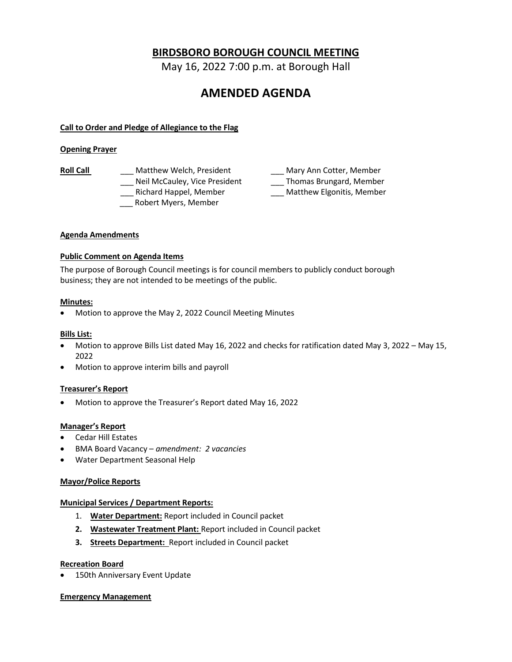## **BIRDSBORO BOROUGH COUNCIL MEETING**

May 16, 2022 7:00 p.m. at Borough Hall

# **AMENDED AGENDA**

## **Call to Order and Pledge of Allegiance to the Flag**

### **Opening Prayer**

- Roll Call **Call Call** Matthew Welch, President **Call** Mary Ann Cotter, Member Lassichard Happel, Member **Lassich Contract Matthew Elgonitis, Member** 
	- \_\_\_ Robert Myers, Member
	- \_\_\_ Neil McCauley, Vice President \_\_\_ Thomas Brungard, Member

#### **Agenda Amendments**

## **Public Comment on Agenda Items**

The purpose of Borough Council meetings is for council members to publicly conduct borough business; they are not intended to be meetings of the public.

#### **Minutes:**

• Motion to approve the May 2, 2022 Council Meeting Minutes

#### **Bills List:**

- Motion to approve Bills List dated May 16, 2022 and checks for ratification dated May 3, 2022 May 15, 2022
- Motion to approve interim bills and payroll

## **Treasurer's Report**

• Motion to approve the Treasurer's Report dated May 16, 2022

## **Manager's Report**

- Cedar Hill Estates
- BMA Board Vacancy *amendment: 2 vacancies*
- Water Department Seasonal Help

#### **Mayor/Police Reports**

#### **Municipal Services / Department Reports:**

- 1. **Water Department:** Report included in Council packet
- **2. Wastewater Treatment Plant:** Report included in Council packet
- **3. Streets Department:** Report included in Council packet

#### **Recreation Board**

• 150th Anniversary Event Update

#### **Emergency Management**